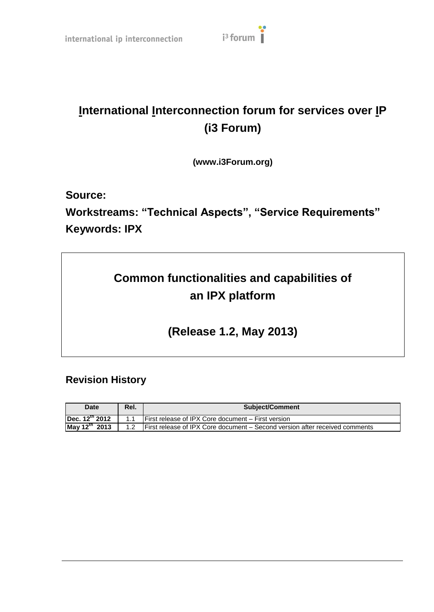## **International Interconnection forum for services over IP (i3 Forum)**

**(www.i3Forum.org)**

**Source:**

**Workstreams: "Technical Aspects", "Service Requirements" Keywords: IPX**

## **Common functionalities and capabilities of an IPX platform**

**(Release 1.2, May 2013)**

## **Revision History**

| <b>Date</b>                | Rel.           | <b>Subject/Comment</b>                                                      |  |
|----------------------------|----------------|-----------------------------------------------------------------------------|--|
| Dec. 12 <sup>th</sup> 2012 | 1 <sub>1</sub> | <b>IFirst release of IPX Core document – First version</b>                  |  |
| May 12 <sup>th</sup> 2013  | 1.2            | First release of IPX Core document – Second version after received comments |  |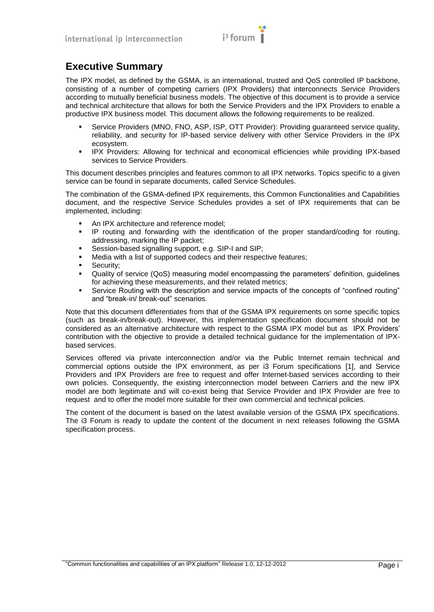

## **Executive Summary**

The IPX model, as defined by the GSMA, is an international, trusted and QoS controlled IP backbone, consisting of a number of competing carriers (IPX Providers) that interconnects Service Providers according to mutually beneficial business models. The objective of this document is to provide a service and technical architecture that allows for both the Service Providers and the IPX Providers to enable a productive IPX business model. This document allows the following requirements to be realized.

- Service Providers (MNO, FNO, ASP, ISP, OTT Provider): Providing guaranteed service quality, reliability, and security for IP-based service delivery with other Service Providers in the IPX ecosystem.
- **IPX Providers: Allowing for technical and economical efficiencies while providing IPX-based** services to Service Providers.

This document describes principles and features common to all IPX networks. Topics specific to a given service can be found in separate documents, called Service Schedules.

The combination of the GSMA-defined IPX requirements, this Common Functionalities and Capabilities document, and the respective Service Schedules provides a set of IPX requirements that can be implemented, including:

- An IPX architecture and reference model;
- IP routing and forwarding with the identification of the proper standard/coding for routing, addressing, marking the IP packet;
- Session-based signalling support, e.g. SIP-I and SIP;
- Media with a list of supported codecs and their respective features;
- Security;
- Quality of service (QoS) measuring model encompassing the parameters" definition, guidelines for achieving these measurements, and their related metrics;
- Service Routing with the description and service impacts of the concepts of "confined routing" and "break-in/ break-out" scenarios.

Note that this document differentiates from that of the GSMA IPX requirements on some specific topics (such as break-in/break-out). However, this implementation specification document should not be considered as an alternative architecture with respect to the GSMA IPX model but as IPX Providers" contribution with the objective to provide a detailed technical guidance for the implementation of IPXbased services.

Services offered via private interconnection and/or via the Public Internet remain technical and commercial options outside the IPX environment, as per i3 Forum specifications [\[1\],](#page-6-0) and Service Providers and IPX Providers are free to request and offer Internet-based services according to their own policies. Consequently, the existing interconnection model between Carriers and the new IPX model are both legitimate and will co-exist being that Service Provider and IPX Provider are free to request and to offer the model more suitable for their own commercial and technical policies.

The content of the document is based on the latest available version of the GSMA IPX specifications. The i3 Forum is ready to update the content of the document in next releases following the GSMA specification process.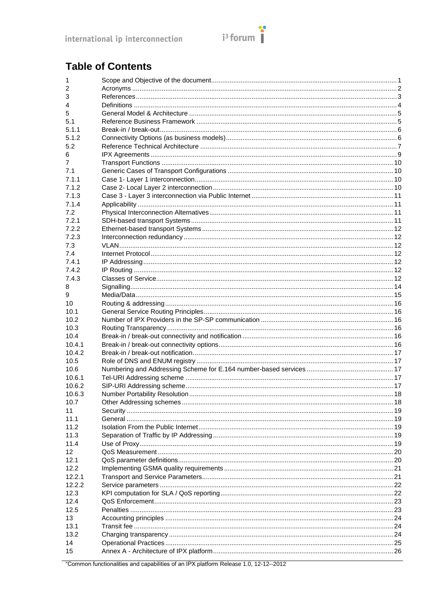

## **Table of Contents**

| 1               |                          |  |
|-----------------|--------------------------|--|
| 2               |                          |  |
| 3               |                          |  |
| 4               |                          |  |
| 5               |                          |  |
| 5.1             |                          |  |
| 5.1.1           |                          |  |
| 5.1.2           |                          |  |
| 5.2             |                          |  |
| 6               |                          |  |
| 7               |                          |  |
| 7.1             |                          |  |
| 7.1.1           |                          |  |
| 7.1.2           |                          |  |
| 7.1.3           |                          |  |
| 7.1.4           |                          |  |
| 7.2             |                          |  |
| 7.2.1           |                          |  |
| 7.2.2           |                          |  |
| 7.2.3           |                          |  |
| 7.3             |                          |  |
| 7.4             |                          |  |
| 7.4.1           |                          |  |
| 7.4.2           |                          |  |
| 7.4.3           |                          |  |
| 8               |                          |  |
| 9               |                          |  |
| 10              |                          |  |
| 10.1            |                          |  |
| 10.2            |                          |  |
| 10.3            |                          |  |
| 10.4            |                          |  |
| 10.4.1          |                          |  |
| 10.4.2          |                          |  |
| 10.5            |                          |  |
| 10.6            |                          |  |
| 10.6.1          |                          |  |
| 10.6.2          |                          |  |
| 10.6.3          |                          |  |
| 10.7            | Other Addressing schemes |  |
| 11              |                          |  |
| 11.1            |                          |  |
| 11.2            |                          |  |
| 11.3            |                          |  |
| 11.4            |                          |  |
| 12 <sup>2</sup> |                          |  |
| 12.1            |                          |  |
| 12.2            |                          |  |
| 12.2.1          |                          |  |
| 12.2.2          |                          |  |
| 12.3            |                          |  |
| 12.4            |                          |  |
| 12.5            |                          |  |
| 13              |                          |  |
| 13.1            |                          |  |
| 13.2            |                          |  |
| 14              |                          |  |
| 15              |                          |  |
|                 |                          |  |

"Common functionalities and capabilities of an IPX platform Release 1.0, 12-12--2012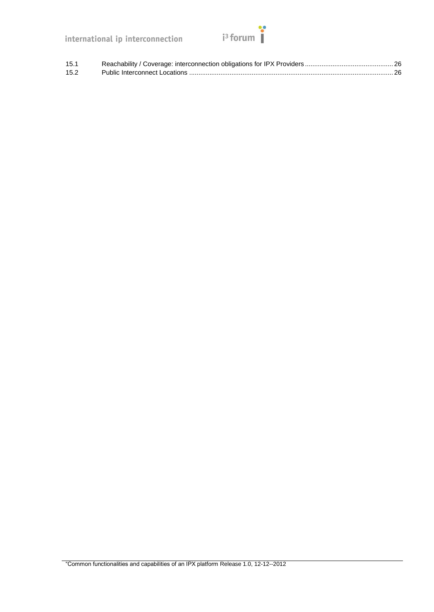# $i^3$  forum

| 15.1 |  |
|------|--|
| 15.2 |  |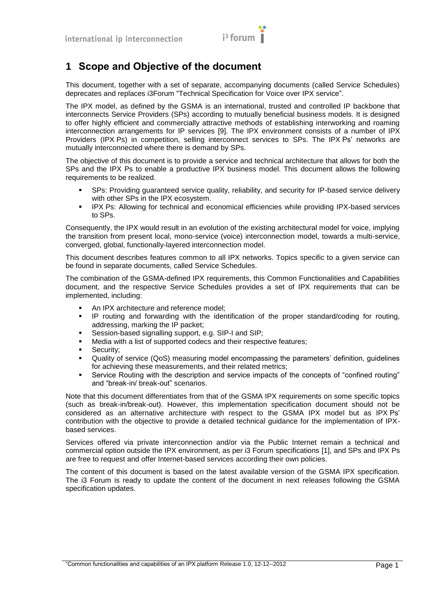

## <span id="page-4-0"></span>**1 Scope and Objective of the document**

This document, together with a set of separate, accompanying documents (called Service Schedules) deprecates and replaces i3Forum "Technical Specification for Voice over IPX service".

The IPX model, as defined by the GSMA is an international, trusted and controlled IP backbone that interconnects Service Providers (SPs) according to mutually beneficial business models. It is designed to offer highly efficient and commercially attractive methods of establishing interworking and roaming interconnection arrangements for IP services [\[9\].](#page-6-2) The IPX environment consists of a number of IPX Providers (IPX Ps) in competition, selling interconnect services to SPs. The IPX Ps' networks are mutually interconnected where there is demand by SPs.

The objective of this document is to provide a service and technical architecture that allows for both the SPs and the IPX Ps to enable a productive IPX business model. This document allows the following requirements to be realized.

- SPs: Providing guaranteed service quality, reliability, and security for IP-based service delivery with other SPs in the IPX ecosystem.
- IPX Ps: Allowing for technical and economical efficiencies while providing IPX-based services to SPs.

Consequently, the IPX would result in an evolution of the existing architectural model for voice, implying the transition from present local, mono-service (voice) interconnection model, towards a multi-service, converged, global, functionally-layered interconnection model.

This document describes features common to all IPX networks. Topics specific to a given service can be found in separate documents, called Service Schedules.

The combination of the GSMA-defined IPX requirements, this Common Functionalities and Capabilities document, and the respective Service Schedules provides a set of IPX requirements that can be implemented, including:

- An IPX architecture and reference model;
- IP routing and forwarding with the identification of the proper standard/coding for routing, addressing, marking the IP packet;
- Session-based signalling support, e.g. SIP-I and SIP;
- Media with a list of supported codecs and their respective features;
- Security;
- Quality of service (QoS) measuring model encompassing the parameters" definition, guidelines for achieving these measurements, and their related metrics;
- Service Routing with the description and service impacts of the concepts of "confined routing" and "break-in/ break-out" scenarios.

Note that this document differentiates from that of the GSMA IPX requirements on some specific topics (such as break-in/break-out). However, this implementation specification document should not be considered as an alternative architecture with respect to the GSMA IPX model but as IPX Ps" contribution with the objective to provide a detailed technical guidance for the implementation of IPXbased services.

Services offered via private interconnection and/or via the Public Internet remain a technical and commercial option outside the IPX environment, as per i3 Forum specifications [\[1\],](#page-6-0) and SPs and IPX Ps are free to request and offer Internet-based services according their own policies.

The content of this document is based on the latest available version of the GSMA IPX specification. The i3 Forum is ready to update the content of the document in next releases following the GSMA specification updates.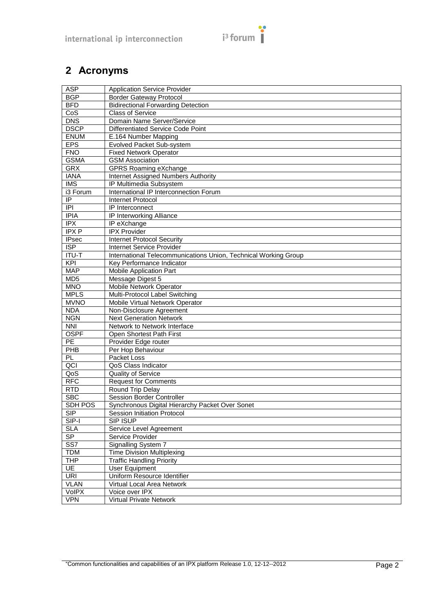# $i^3$  forum

## <span id="page-5-0"></span>**2 Acronyms**

| <b>ASP</b>              | <b>Application Service Provider</b>                             |  |  |
|-------------------------|-----------------------------------------------------------------|--|--|
| <b>BGP</b>              | <b>Border Gateway Protocol</b>                                  |  |  |
| <b>BFD</b>              | <b>Bidirectional Forwarding Detection</b>                       |  |  |
| CoS                     | <b>Class of Service</b>                                         |  |  |
| <b>DNS</b>              | Domain Name Server/Service                                      |  |  |
| <b>DSCP</b>             | Differentiated Service Code Point                               |  |  |
| <b>ENUM</b>             | E.164 Number Mapping                                            |  |  |
| <b>EPS</b>              | Evolved Packet Sub-system                                       |  |  |
| <b>FNO</b>              | <b>Fixed Network Operator</b>                                   |  |  |
| <b>GSMA</b>             | <b>GSM Association</b>                                          |  |  |
| <b>GRX</b>              | <b>GPRS Roaming eXchange</b>                                    |  |  |
| <b>IANA</b>             | Internet Assigned Numbers Authority                             |  |  |
| $\overline{\text{IMS}}$ | IP Multimedia Subsystem                                         |  |  |
| i3 Forum                | International IP Interconnection Forum                          |  |  |
| $\overline{P}$          | <b>Internet Protocol</b>                                        |  |  |
| $\overline{IPI}$        | IP Interconnect                                                 |  |  |
| <b>IPIA</b>             | IP Interworking Alliance                                        |  |  |
| IPX                     | IP eXchange                                                     |  |  |
| IPXP                    | <b>IPX Provider</b>                                             |  |  |
| <b>IPsec</b>            | <b>Internet Protocol Security</b>                               |  |  |
| $\overline{\text{ISP}}$ | <b>Internet Service Provider</b>                                |  |  |
| <b>ITU-T</b>            | International Telecommunications Union, Technical Working Group |  |  |
| KPI                     | Key Performance Indicator                                       |  |  |
| <b>MAP</b>              | Mobile Application Part                                         |  |  |
| MD <sub>5</sub>         | Message Digest 5                                                |  |  |
| <b>MNO</b>              | Mobile Network Operator                                         |  |  |
| <b>MPLS</b>             | Multi-Protocol Label Switching                                  |  |  |
| <b>MVNO</b>             | Mobile Virtual Network Operator                                 |  |  |
| <b>NDA</b>              | Non-Disclosure Agreement                                        |  |  |
| <b>NGN</b>              | <b>Next Generation Network</b>                                  |  |  |
| <b>NNI</b>              | Network to Network Interface                                    |  |  |
| <b>OSPF</b>             | Open Shortest Path First                                        |  |  |
| $\overline{PE}$         | Provider Edge router                                            |  |  |
| PHB                     | Per Hop Behaviour                                               |  |  |
| PL                      | Packet Loss                                                     |  |  |
| QCI                     | QoS Class Indicator                                             |  |  |
| QoS                     | Quality of Service                                              |  |  |
| <b>RFC</b>              | <b>Request for Comments</b>                                     |  |  |
| <b>RTD</b>              | Round Trip Delay                                                |  |  |
| <b>SBC</b>              | Session Border Controller                                       |  |  |
| SDH POS                 |                                                                 |  |  |
|                         | Synchronous Digital Hierarchy Packet Over Sonet                 |  |  |
| <b>SIP</b>              | Session Initiation Protocol                                     |  |  |
| SIP-I                   | SIP ISUP                                                        |  |  |
| <b>SLA</b><br>SP        | Service Level Agreement                                         |  |  |
|                         | Service Provider                                                |  |  |
| SS7                     | Signalling System 7                                             |  |  |
| <b>TDM</b>              | <b>Time Division Multiplexing</b>                               |  |  |
| <b>THP</b>              | <b>Traffic Handling Priority</b>                                |  |  |
| UE                      | <b>User Equipment</b>                                           |  |  |
| URI                     | Uniform Resource Identifier                                     |  |  |
| <b>VLAN</b>             | Virtual Local Area Network                                      |  |  |
| <b>VoIPX</b>            | Voice over IPX                                                  |  |  |
| <b>VPN</b>              | <b>Virtual Private Network</b>                                  |  |  |

"Common functionalities and capabilities of an IPX platform Release 1.0, 12-12--2012 Page 2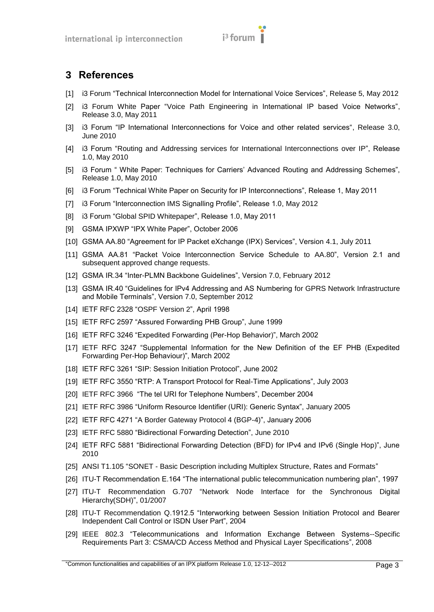## <span id="page-6-1"></span>**3 References**

- <span id="page-6-0"></span>[1] i3 Forum "Technical Interconnection Model for International Voice Services", Release 5, May 2012
- [2] i3 Forum White Paper "Voice Path Engineering in International IP based Voice Networks", Release 3.0, May 2011
- [3] i3 Forum "IP International Interconnections for Voice and other related services", Release 3.0, June 2010
- <span id="page-6-10"></span>[4] i3 Forum "Routing and Addressing services for International Interconnections over IP", Release 1.0, May 2010
- <span id="page-6-11"></span>[5] i3 Forum " White Paper: Techniques for Carriers' Advanced Routing and Addressing Schemes", Release 1.0, May 2010
- <span id="page-6-16"></span>[6] i3 Forum "Technical White Paper on Security for IP Interconnections", Release 1, May 2011
- [7] i3 Forum "Interconnection IMS Signalling Profile", Release 1.0, May 2012
- <span id="page-6-15"></span>[8] i3 Forum "Global SPID Whitepaper", Release 1.0, May 2011
- <span id="page-6-2"></span>[9] GSMA IPXWP "IPX White Paper", October 2006
- <span id="page-6-3"></span>[10] GSMA AA.80 "Agreement for IP Packet eXchange (IPX) Services", Version 4.1, July 2011
- <span id="page-6-17"></span>[11] GSMA AA.81 "Packet Voice Interconnection Service Schedule to AA.80", Version 2.1 and subsequent approved change requests.
- <span id="page-6-4"></span>[12] GSMA IR.34 "Inter-PLMN Backbone Guidelines", Version 7.0, February 2012
- <span id="page-6-8"></span>[13] GSMA IR.40 "Guidelines for IPv4 Addressing and AS Numbering for GPRS Network Infrastructure and Mobile Terminals", Version 7.0, September 2012
- <span id="page-6-18"></span>[14] IETF RFC 2328 "OSPF Version 2", April 1998
- [15] IETF RFC 2597 "Assured Forwarding PHB Group", June 1999
- [16] IETF RFC 3246 "Expedited Forwarding (Per-Hop Behavior)", March 2002
- [17] IETF RFC 3247 "Supplemental Information for the New Definition of the EF PHB (Expedited Forwarding Per-Hop Behaviour)", March 2002
- <span id="page-6-14"></span>[18] IETF RFC 3261 "SIP: Session Initiation Protocol", June 2002
- [19] IETF RFC 3550 "RTP: A Transport Protocol for Real-Time Applications", July 2003
- <span id="page-6-12"></span>[20] IETF RFC 3966 "The tel URI for Telephone Numbers", December 2004
- <span id="page-6-13"></span>[21] IETF RFC 3986 "Uniform Resource Identifier (URI): Generic Syntax", January 2005
- [22] IETF RFC 4271 "A Border Gateway Protocol 4 (BGP-4)", January 2006
- <span id="page-6-9"></span>[23] IETF RFC 5880 "Bidirectional Forwarding Detection", June 2010
- [24] IETF RFC 5881 "Bidirectional Forwarding Detection (BFD) for IPv4 and IPv6 (Single Hop)", June 2010
- <span id="page-6-6"></span>[25] ANSI T1.105 "SONET - Basic Description including Multiplex Structure, Rates and Formats"
- [26] ITU-T Recommendation E.164 "The international public telecommunication numbering plan", 1997
- <span id="page-6-5"></span>[27] ITU-T Recommendation G.707 "Network Node Interface for the Synchronous Digital Hierarchy(SDH)", 01/2007
- [28] ITU-T Recommendation Q.1912.5 "Interworking between Session Initiation Protocol and Bearer Independent Call Control or ISDN User Part", 2004
- <span id="page-6-7"></span>[29] IEEE 802.3 "Telecommunications and Information Exchange Between Systems--Specific Requirements Part 3: CSMA/CD Access Method and Physical Layer Specifications", 2008

"Common functionalities and capabilities of an IPX platform Release 1.0, 12-12--2012 Page 3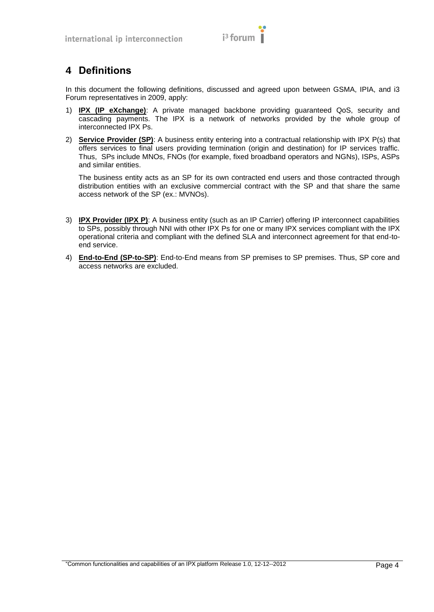

## <span id="page-7-0"></span>**4 Definitions**

In this document the following definitions, discussed and agreed upon between GSMA, IPIA, and i3 Forum representatives in 2009, apply:

- 1) **IPX (IP eXchange)**: A private managed backbone providing guaranteed QoS, security and cascading payments. The IPX is a network of networks provided by the whole group of interconnected IPX Ps.
- 2) **Service Provider (SP)**: A business entity entering into a contractual relationship with IPX P(s) that offers services to final users providing termination (origin and destination) for IP services traffic. Thus, SPs include MNOs, FNOs (for example, fixed broadband operators and NGNs), ISPs, ASPs and similar entities.

The business entity acts as an SP for its own contracted end users and those contracted through distribution entities with an exclusive commercial contract with the SP and that share the same access network of the SP (ex.: MVNOs).

- 3) **IPX Provider (IPX P)**: A business entity (such as an IP Carrier) offering IP interconnect capabilities to SPs, possibly through NNI with other IPX Ps for one or many IPX services compliant with the IPX operational criteria and compliant with the defined SLA and interconnect agreement for that end-toend service.
- 4) **End-to-End (SP-to-SP)**: End-to-End means from SP premises to SP premises. Thus, SP core and access networks are excluded.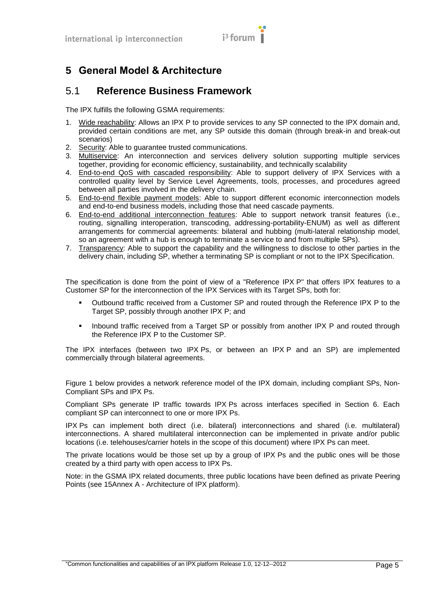## $i<sup>3</sup>$  forum  $\overline{I}$

## <span id="page-8-0"></span>**5 General Model & Architecture**

#### <span id="page-8-1"></span>5.1 **Reference Business Framework**

The IPX fulfills the following GSMA requirements:

- 1. Wide reachability: Allows an IPX P to provide services to any SP connected to the IPX domain and, provided certain conditions are met, any SP outside this domain (through break-in and break-out scenarios)
- 2. Security: Able to guarantee trusted communications.
- 3. Multiservice: An interconnection and services delivery solution supporting multiple services together, providing for economic efficiency, sustainability, and technically scalability
- 4. End-to-end QoS with cascaded responsibility: Able to support delivery of IPX Services with a controlled quality level by Service Level Agreements, tools, processes, and procedures agreed between all parties involved in the delivery chain.
- 5. End-to-end flexible payment models: Able to support different economic interconnection models and end-to-end business models, including those that need cascade payments.
- 6. End-to-end additional interconnection features: Able to support network transit features (i.e., routing, signalling interoperation, transcoding, addressing-portability-ENUM) as well as different arrangements for commercial agreements: bilateral and hubbing (multi-lateral relationship model, so an agreement with a hub is enough to terminate a service to and from multiple SPs).
- 7. Transparency: Able to support the capability and the willingness to disclose to other parties in the delivery chain, including SP, whether a terminating SP is compliant or not to the IPX Specification.

The specification is done from the point of view of a "Reference IPX P" that offers IPX features to a Customer SP for the interconnection of the IPX Services with its Target SPs, both for:

- Outbound traffic received from a Customer SP and routed through the Reference IPX P to the Target SP, possibly through another IPX P; and
- Inbound traffic received from a Target SP or possibly from another IPX P and routed through the Reference IPX P to the Customer SP.

The IPX interfaces (between two IPX Ps, or between an IPX P and an SP) are implemented commercially through bilateral agreements.

[Figure 1](#page-9-2) below provides a network reference model of the IPX domain, including compliant SPs, Non-Compliant SPs and IPX Ps.

Compliant SPs generate IP traffic towards IPX Ps across interfaces specified in Section 6. Each compliant SP can interconnect to one or more IPX Ps.

IPX Ps can implement both direct (i.e. bilateral) interconnections and shared (i.e. multilateral) interconnections. A shared multilateral interconnection can be implemented in private and/or public locations (i.e. telehouses/carrier hotels in the scope of this document) where IPX Ps can meet.

The private locations would be those set up by a group of IPX Ps and the public ones will be those created by a third party with open access to IPX Ps.

Note: in the GSMA IPX related documents, three public locations have been defined as private Peering Points (see [15A](#page-29-0)nnex A - [Architecture of IPX platform\)](#page-29-0).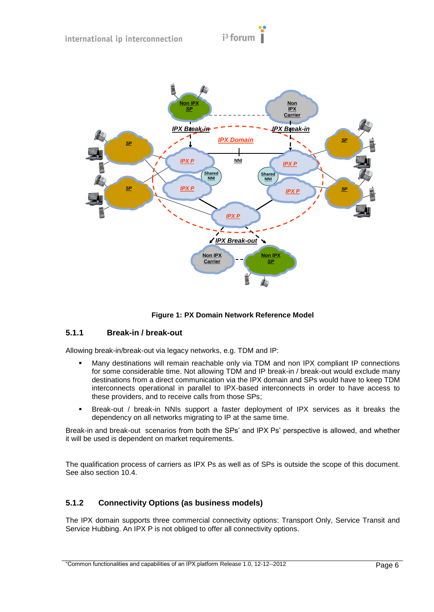

**Figure 1: PX Domain Network Reference Model**

#### <span id="page-9-2"></span><span id="page-9-0"></span>**5.1.1 Break-in / break-out**

Allowing break-in/break-out via legacy networks, e.g. TDM and IP:

- Many destinations will remain reachable only via TDM and non IPX compliant IP connections for some considerable time. Not allowing TDM and IP break-in / break-out would exclude many destinations from a direct communication via the IPX domain and SPs would have to keep TDM interconnects operational in parallel to IPX-based interconnects in order to have access to these providers, and to receive calls from those SPs;
- Break-out / break-in NNIs support a faster deployment of IPX services as it breaks the dependency on all networks migrating to IP at the same time.

Break-in and break-out scenarios from both the SPs" and IPX Ps" perspective is allowed, and whether it will be used is dependent on market requirements.

The qualification process of carriers as IPX Ps as well as of SPs is outside the scope of this document. See also section [10.4.](#page-19-4)

#### <span id="page-9-1"></span>**5.1.2 Connectivity Options (as business models)**

The IPX domain supports three commercial connectivity options: Transport Only, Service Transit and Service Hubbing. An IPX P is not obliged to offer all connectivity options.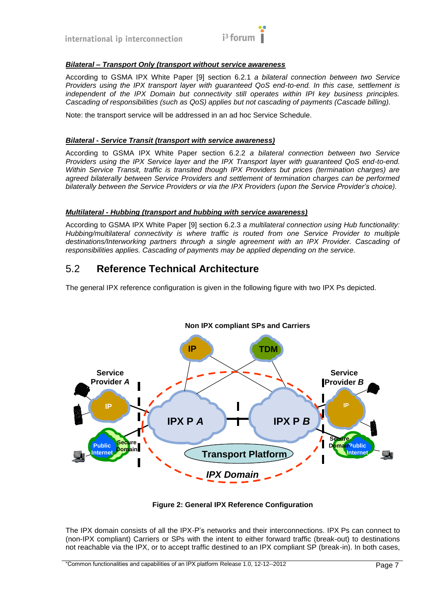

#### *Bilateral – Transport Only (transport without service awareness*

According to GSMA IPX White Paper [\[9\]](#page-6-2) section 6.2.1 *a bilateral connection between two Service Providers using the IPX transport layer with guaranteed QoS end-to-end. In this case, settlement is independent of the IPX Domain but connectivity still operates within IPI key business principles. Cascading of responsibilities (such as QoS) applies but not cascading of payments (Cascade billing).* 

Note: the transport service will be addressed in an ad hoc Service Schedule.

#### *Bilateral - Service Transit (transport with service awareness)*

According to GSMA IPX White Paper section 6.2.2 *a bilateral connection between two Service Providers using the IPX Service layer and the IPX Transport layer with guaranteed QoS end-to-end. Within Service Transit, traffic is transited though IPX Providers but prices (termination charges) are agreed bilaterally between Service Providers and settlement of termination charges can be performed bilaterally between the Service Providers or via the IPX Providers (upon the Service Provider's choice).*

#### *Multilateral - Hubbing (transport and hubbing with service awareness)*

According to GSMA IPX White Paper [\[9\]](#page-6-2) section 6.2.3 *a multilateral connection using Hub functionality: Hubbing/multilateral connectivity is where traffic is routed from one Service Provider to multiple destinations/Interworking partners through a single agreement with an IPX Provider. Cascading of responsibilities applies. Cascading of payments may be applied depending on the service.*

#### <span id="page-10-0"></span>5.2 **Reference Technical Architecture**

The general IPX reference configuration is given in the following figure with two IPX Ps depicted.



**Figure 2: General IPX Reference Configuration**

The IPX domain consists of all the IPX-P"s networks and their interconnections. IPX Ps can connect to (non-IPX compliant) Carriers or SPs with the intent to either forward traffic (break-out) to destinations not reachable via the IPX, or to accept traffic destined to an IPX compliant SP (break-in). In both cases,

<sup>&</sup>quot;Common functionalities and capabilities of an IPX platform Release 1.0, 12-12--2012 Page 7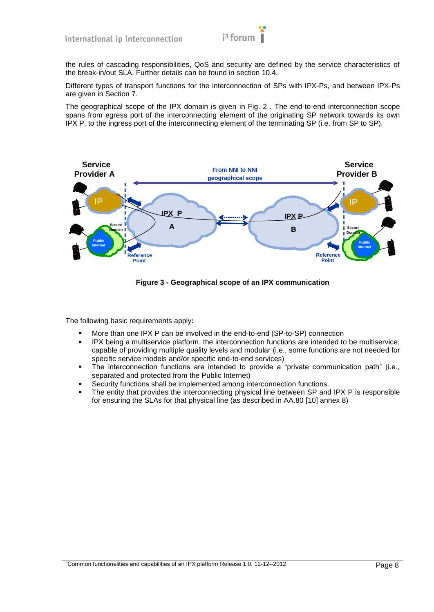

the rules of cascading responsibilities, QoS and security are defined by the service characteristics of the break-in/out SLA. Further details can be found in section [10.4.](#page-19-4)

Different types of transport functions for the interconnection of SPs with IPX-Ps, and between IPX-Ps are given in Section [7.](#page-13-0)

The geographical scope of the IPX domain is given in Fig. 2 . The end-to-end interconnection scope spans from egress port of the interconnecting element of the originating SP network towards its own IPX P, to the ingress port of the interconnecting element of the terminating SP (i.e. from SP to SP).



**Figure 3 - Geographical scope of an IPX communication**

The following basic requirements apply**:**

- More than one IPX P can be involved in the end-to-end (SP-to-SP) connection
- IPX being a multiservice platform, the interconnection functions are intended to be multiservice, capable of providing multiple quality levels and modular (i.e., some functions are not needed for specific service models and/or specific end-to-end services)
- The interconnection functions are intended to provide a "private communication path" (i.e., separated and protected from the Public Internet)
- Security functions shall be implemented among interconnection functions.
- The entity that provides the interconnecting physical line between SP and IPX P is responsible for ensuring the SLAs for that physical line (as described in AA.80 [\[10\]](#page-6-3) annex 8)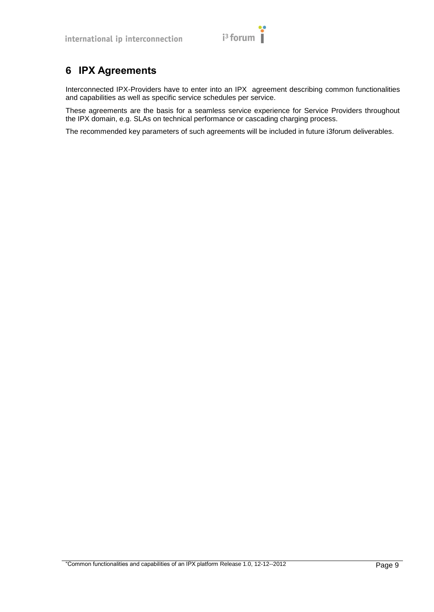

## <span id="page-12-0"></span>**6 IPX Agreements**

Interconnected IPX-Providers have to enter into an IPX agreement describing common functionalities and capabilities as well as specific service schedules per service.

These agreements are the basis for a seamless service experience for Service Providers throughout the IPX domain, e.g. SLAs on technical performance or cascading charging process.

The recommended key parameters of such agreements will be included in future i3forum deliverables.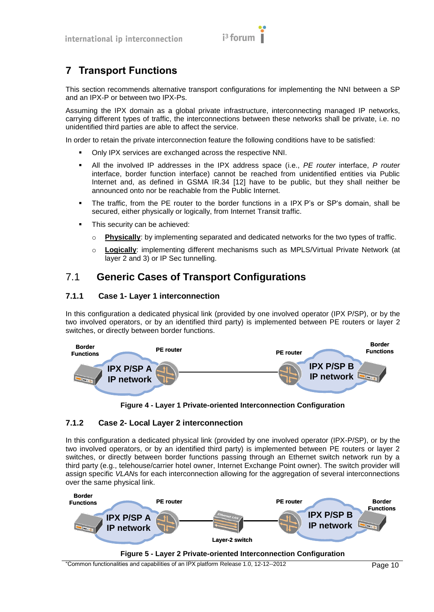

## <span id="page-13-0"></span>**7 Transport Functions**

This section recommends alternative transport configurations for implementing the NNI between a SP and an IPX-P or between two IPX-Ps.

Assuming the IPX domain as a global private infrastructure, interconnecting managed IP networks, carrying different types of traffic, the interconnections between these networks shall be private, i.e. no unidentified third parties are able to affect the service.

In order to retain the private interconnection feature the following conditions have to be satisfied:

- Only IPX services are exchanged across the respective NNI.
- All the involved IP addresses in the IPX address space (i.e., *PE router* interface, *P router* interface, border function interface) cannot be reached from unidentified entities via Public Internet and, as defined in GSMA IR.34 [\[12\]](#page-6-4) have to be public, but they shall neither be announced onto nor be reachable from the Public Internet.
- The traffic, from the PE router to the border functions in a IPX P"s or SP"s domain, shall be secured, either physically or logically, from Internet Transit traffic.
- This security can be achieved:
	- o **Physically**: by implementing separated and dedicated networks for the two types of traffic.
	- o **Logically**: implementing different mechanisms such as MPLS/Virtual Private Network (at layer 2 and 3) or IP Sec tunnelling.

#### <span id="page-13-1"></span>7.1 **Generic Cases of Transport Configurations**

#### <span id="page-13-2"></span>**7.1.1 Case 1- Layer 1 interconnection**

In this configuration a dedicated physical link (provided by one involved operator (IPX P/SP), or by the two involved operators, or by an identified third party) is implemented between PE routers or layer 2 switches, or directly between border functions.



**Figure 4 - Layer 1 Private-oriented Interconnection Configuration**

#### <span id="page-13-3"></span>**7.1.2 Case 2- Local Layer 2 interconnection**

In this configuration a dedicated physical link (provided by one involved operator (IPX-P/SP), or by the two involved operators, or by an identified third party) is implemented between PE routers or layer 2 switches, or directly between border functions passing through an Ethernet switch network run by a third party (e.g., telehouse/carrier hotel owner, Internet Exchange Point owner). The switch provider will assign specific *VLAN*s for each interconnection allowing for the aggregation of several interconnections over the same physical link.



"Common functionalities and capabilities of an IPX platform Release 1.0, 12-12--2012 Page 10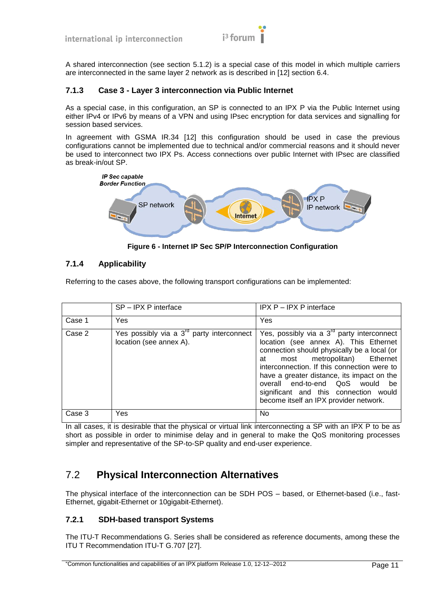

A shared interconnection (see section [5.1.2\)](#page-9-1) is a special case of this model in which multiple carriers are interconnected in the same layer 2 network as is described in [\[12\]](#page-6-4) section 6.4.

#### <span id="page-14-0"></span>**7.1.3 Case 3 - Layer 3 interconnection via Public Internet**

As a special case, in this configuration, an SP is connected to an IPX P via the Public Internet using either IPv4 or IPv6 by means of a VPN and using IPsec encryption for data services and signalling for session based services.

In agreement with GSMA IR.34 [\[12\]](#page-6-4) this configuration should be used in case the previous configurations cannot be implemented due to technical and/or commercial reasons and it should never be used to interconnect two IPX Ps. Access connections over public Internet with IPsec are classified as break-in/out SP.



**Figure 6 - Internet IP Sec SP/P Interconnection Configuration**

#### <span id="page-14-1"></span>**7.1.4 Applicability**

Referring to the cases above, the following transport configurations can be implemented:

|        | SP-IPX P interface                                                               | IPX P - IPX P interface                                                                                                                                                                                                                                                                                                                                                                         |
|--------|----------------------------------------------------------------------------------|-------------------------------------------------------------------------------------------------------------------------------------------------------------------------------------------------------------------------------------------------------------------------------------------------------------------------------------------------------------------------------------------------|
| Case 1 | Yes                                                                              | Yes                                                                                                                                                                                                                                                                                                                                                                                             |
| Case 2 | Yes possibly via a $3^{\text{rd}}$ party interconnect<br>location (see annex A). | Yes, possibly via a $3rd$ party interconnect<br>location (see annex A). This Ethernet<br>connection should physically be a local (or<br>most metropolitan) Ethernet<br>at<br>interconnection. If this connection were to<br>have a greater distance, its impact on the<br>overall end-to-end QoS would<br>be<br>significant and this connection would<br>become itself an IPX provider network. |
| Case 3 | Yes                                                                              | No                                                                                                                                                                                                                                                                                                                                                                                              |

In all cases, it is desirable that the physical or virtual link interconnecting a SP with an IPX P to be as short as possible in order to minimise delay and in general to make the QoS monitoring processes simpler and representative of the SP-to-SP quality and end-user experience.

## <span id="page-14-2"></span>7.2 **Physical Interconnection Alternatives**

The physical interface of the interconnection can be SDH POS – based, or Ethernet-based (i.e., fast-Ethernet, gigabit-Ethernet or 10gigabit-Ethernet).

#### <span id="page-14-3"></span>**7.2.1 SDH-based transport Systems**

The ITU-T Recommendations G. Series shall be considered as reference documents, among these the ITU T Recommendation ITU-T G.707 [\[27\].](#page-6-5)

<sup>&</sup>quot;Common functionalities and capabilities of an IPX platform Release 1.0, 12-12--2012 Page 11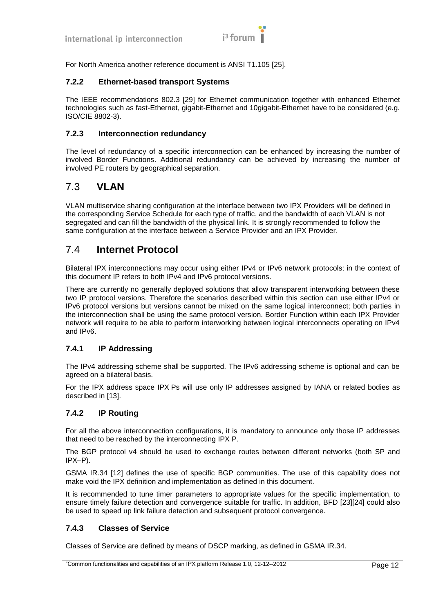

For North America another reference document is ANSI T1.105 [\[25\].](#page-6-6)

#### <span id="page-15-0"></span>**7.2.2 Ethernet-based transport Systems**

The IEEE recommendations 802.3 [\[29\]](#page-6-7) for Ethernet communication together with enhanced Ethernet technologies such as fast-Ethernet, gigabit-Ethernet and 10gigabit-Ethernet have to be considered (e.g. ISO/CIE 8802-3).

#### <span id="page-15-1"></span>**7.2.3 Interconnection redundancy**

The level of redundancy of a specific interconnection can be enhanced by increasing the number of involved Border Functions. Additional redundancy can be achieved by increasing the number of involved PE routers by geographical separation.

#### <span id="page-15-2"></span>7.3 **VLAN**

VLAN multiservice sharing configuration at the interface between two IPX Providers will be defined in the corresponding Service Schedule for each type of traffic, and the bandwidth of each VLAN is not segregated and can fill the bandwidth of the physical link. It is strongly recommended to follow the same configuration at the interface between a Service Provider and an IPX Provider.

#### <span id="page-15-3"></span>7.4 **Internet Protocol**

Bilateral IPX interconnections may occur using either IPv4 or IPv6 network protocols; in the context of this document IP refers to both IPv4 and IPv6 protocol versions.

There are currently no generally deployed solutions that allow transparent interworking between these two IP protocol versions. Therefore the scenarios described within this section can use either IPv4 or IPv6 protocol versions but versions cannot be mixed on the same logical interconnect; both parties in the interconnection shall be using the same protocol version. Border Function within each IPX Provider network will require to be able to perform interworking between logical interconnects operating on IPv4 and IPv6.

#### <span id="page-15-4"></span>**7.4.1 IP Addressing**

The IPv4 addressing scheme shall be supported. The IPv6 addressing scheme is optional and can be agreed on a bilateral basis.

For the IPX address space IPX Ps will use only IP addresses assigned by IANA or related bodies as described in [\[13\].](#page-6-8)

#### <span id="page-15-5"></span>**7.4.2 IP Routing**

For all the above interconnection configurations, it is mandatory to announce only those IP addresses that need to be reached by the interconnecting IPX P.

The BGP protocol v4 should be used to exchange routes between different networks (both SP and IPX–P).

GSMA IR.34 [\[12\]](#page-6-4) defines the use of specific BGP communities. The use of this capability does not make void the IPX definition and implementation as defined in this document.

It is recommended to tune timer parameters to appropriate values for the specific implementation, to ensure timely failure detection and convergence suitable for traffic. In addition, BFD [\[23\]\[24\]](#page-6-9) could also be used to speed up link failure detection and subsequent protocol convergence.

#### <span id="page-15-6"></span>**7.4.3 Classes of Service**

Classes of Service are defined by means of DSCP marking, as defined in GSMA IR.34.

<sup>&</sup>quot;Common functionalities and capabilities of an IPX platform Release 1.0, 12-12--2012 Page 12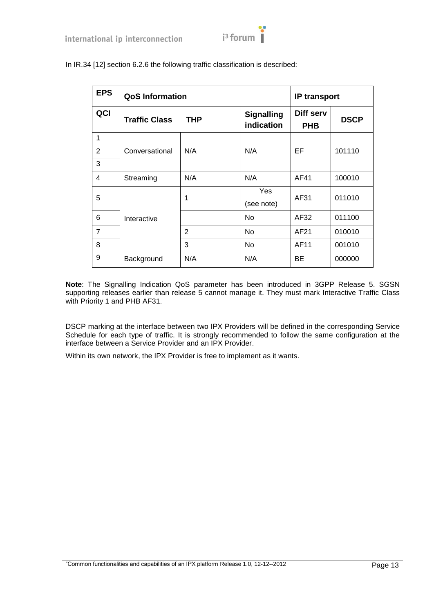

| <b>EPS</b>     | <b>QoS Information</b> |              |                                 | <b>IP transport</b>     |             |
|----------------|------------------------|--------------|---------------------------------|-------------------------|-------------|
| QCI            | <b>Traffic Class</b>   | <b>THP</b>   | <b>Signalling</b><br>indication | Diff serv<br><b>PHB</b> | <b>DSCP</b> |
| 1              |                        |              |                                 |                         |             |
| 2              | Conversational         | N/A          | N/A                             | EF                      | 101110      |
| 3              |                        |              |                                 |                         |             |
| $\overline{4}$ | Streaming              | N/A          | N/A                             | AF41                    | 100010      |
| 5              |                        | 1            | Yes<br>(see note)               | AF31                    | 011010      |
| 6              | Interactive            |              | <b>No</b>                       | AF32                    | 011100      |
| $\overline{7}$ |                        | $\mathbf{2}$ | No                              | AF21                    | 010010      |
| 8              |                        | 3            | No                              | AF11                    | 001010      |
| 9              | Background             | N/A          | N/A                             | BE                      | 000000      |

In IR.34 [\[12\]](#page-6-4) section 6.2.6 the following traffic classification is described:

**Note**: The Signalling Indication QoS parameter has been introduced in 3GPP Release 5. SGSN supporting releases earlier than release 5 cannot manage it. They must mark Interactive Traffic Class with Priority 1 and PHB AF31.

DSCP marking at the interface between two IPX Providers will be defined in the corresponding Service Schedule for each type of traffic. It is strongly recommended to follow the same configuration at the interface between a Service Provider and an IPX Provider.

Within its own network, the IPX Provider is free to implement as it wants.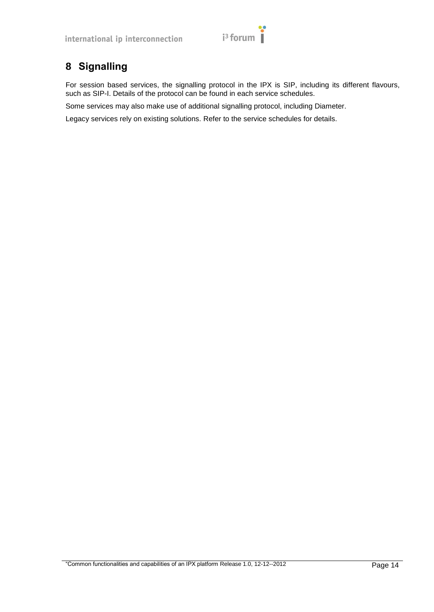# $i<sup>3</sup>$  forum

## <span id="page-17-0"></span>**8 Signalling**

For session based services, the signalling protocol in the IPX is SIP, including its different flavours, such as SIP-I. Details of the protocol can be found in each service schedules.

Some services may also make use of additional signalling protocol, including Diameter.

Legacy services rely on existing solutions. Refer to the service schedules for details.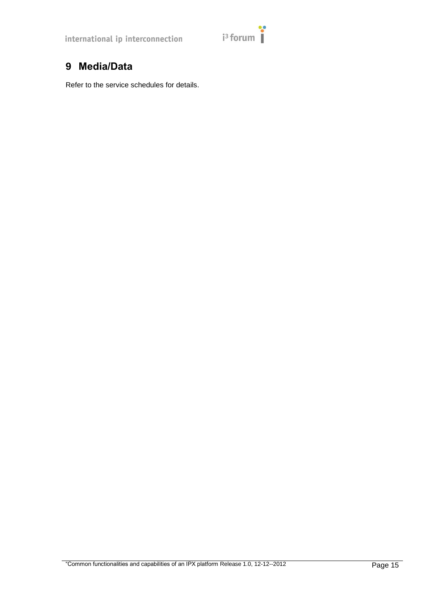## <span id="page-18-0"></span>**9 Media/Data**

Refer to the service schedules for details.

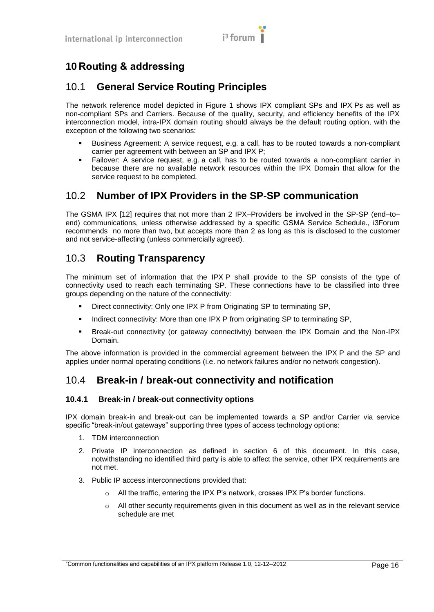

## <span id="page-19-0"></span>**10 Routing & addressing**

### <span id="page-19-1"></span>10.1 **General Service Routing Principles**

The network reference model depicted in Figure 1 shows IPX compliant SPs and IPX Ps as well as non-compliant SPs and Carriers. Because of the quality, security, and efficiency benefits of the IPX interconnection model, intra-IPX domain routing should always be the default routing option, with the exception of the following two scenarios:

- Business Agreement: A service request, e.g. a call, has to be routed towards a non-compliant carrier per agreement with between an SP and IPX P;
- Failover: A service request, e.g. a call, has to be routed towards a non-compliant carrier in because there are no available network resources within the IPX Domain that allow for the service request to be completed.

#### <span id="page-19-2"></span>10.2 **Number of IPX Providers in the SP-SP communication**

The GSMA IPX [\[12\]](#page-6-4) requires that not more than 2 IPX–Providers be involved in the SP-SP (end–to– end) communications, unless otherwise addressed by a specific GSMA Service Schedule., i3Forum recommends no more than two, but accepts more than 2 as long as this is disclosed to the customer and not service-affecting (unless commercially agreed).

## <span id="page-19-3"></span>10.3 **Routing Transparency**

The minimum set of information that the IPX P shall provide to the SP consists of the type of connectivity used to reach each terminating SP. These connections have to be classified into three groups depending on the nature of the connectivity:

- **•** Direct connectivity: Only one IPX P from Originating SP to terminating SP,
- Indirect connectivity: More than one IPX P from originating SP to terminating SP,
- Break-out connectivity (or gateway connectivity) between the IPX Domain and the Non-IPX Domain.

The above information is provided in the commercial agreement between the IPX P and the SP and applies under normal operating conditions (i.e. no network failures and/or no network congestion).

#### <span id="page-19-4"></span>10.4 **Break-in / break-out connectivity and notification**

#### <span id="page-19-5"></span>**10.4.1 Break-in / break-out connectivity options**

IPX domain break-in and break-out can be implemented towards a SP and/or Carrier via service specific "break-in/out gateways" supporting three types of access technology options:

- 1. TDM interconnection
- 2. Private IP interconnection as defined in section 6 of this document. In this case, notwithstanding no identified third party is able to affect the service, other IPX requirements are not met.
- 3. Public IP access interconnections provided that:
	- o All the traffic, entering the IPX P"s network, crosses IPX P"s border functions.
	- $\circ$  All other security requirements given in this document as well as in the relevant service schedule are met

<sup>&</sup>quot;Common functionalities and capabilities of an IPX platform Release 1.0, 12-12--2012 Page 16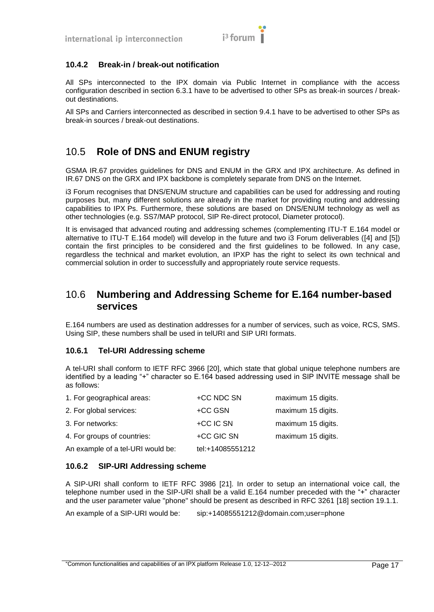

#### <span id="page-20-0"></span>**10.4.2 Break-in / break-out notification**

All SPs interconnected to the IPX domain via Public Internet in compliance with the access configuration described in section 6.3.1 have to be advertised to other SPs as break-in sources / breakout destinations.

All SPs and Carriers interconnected as described in section 9.4.1 have to be advertised to other SPs as break-in sources / break-out destinations.

#### <span id="page-20-1"></span>10.5 **Role of DNS and ENUM registry**

GSMA IR.67 provides guidelines for DNS and ENUM in the GRX and IPX architecture. As defined in IR.67 DNS on the GRX and IPX backbone is completely separate from DNS on the Internet.

i3 Forum recognises that DNS/ENUM structure and capabilities can be used for addressing and routing purposes but, many different solutions are already in the market for providing routing and addressing capabilities to IPX Ps. Furthermore, these solutions are based on DNS/ENUM technology as well as other technologies (e.g. SS7/MAP protocol, SIP Re-direct protocol, Diameter protocol).

It is envisaged that advanced routing and addressing schemes (complementing ITU-T E.164 model or alternative to ITU-T E.164 model) will develop in the future and two i3 Forum deliverables [\(\[4\]](#page-6-10) and [\[5\]\)](#page-6-11) contain the first principles to be considered and the first guidelines to be followed. In any case, regardless the technical and market evolution, an IPXP has the right to select its own technical and commercial solution in order to successfully and appropriately route service requests.

#### <span id="page-20-2"></span>10.6 **Numbering and Addressing Scheme for E.164 number-based services**

E.164 numbers are used as destination addresses for a number of services, such as voice, RCS, SMS. Using SIP, these numbers shall be used in telURI and SIP URI formats.

#### <span id="page-20-3"></span>**10.6.1 Tel-URI Addressing scheme**

A tel-URI shall conform to IETF RFC 3966 [\[20\],](#page-6-12) which state that global unique telephone numbers are identified by a leading "+" character so E.164 based addressing used in SIP INVITE message shall be as follows:

| 1. For geographical areas:        | +CC NDC SN       | maximum 15 digits. |
|-----------------------------------|------------------|--------------------|
| 2. For global services:           | +CC GSN          | maximum 15 digits. |
| 3. For networks:                  | +CC IC SN        | maximum 15 digits. |
| 4. For groups of countries:       | +CC GIC SN       | maximum 15 digits. |
| An example of a tel-URI would be: | tel:+14085551212 |                    |

#### <span id="page-20-4"></span>**10.6.2 SIP-URI Addressing scheme**

A SIP-URI shall conform to IETF RFC 3986 [\[21\].](#page-6-13) In order to setup an international voice call, the telephone number used in the SIP-URI shall be a valid E.164 number preceded with the "+" character and the user parameter value "phone" should be present as described in RFC 3261 [\[18\]](#page-6-14) section 19.1.1.

An example of a SIP-URI would be: sip:+14085551212@domain.com;user=phone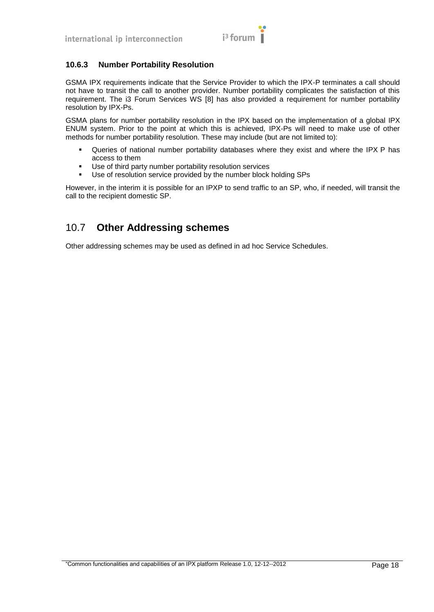

#### <span id="page-21-0"></span>**10.6.3 Number Portability Resolution**

GSMA IPX requirements indicate that the Service Provider to which the IPX-P terminates a call should not have to transit the call to another provider. Number portability complicates the satisfaction of this requirement. The i3 Forum Services WS [\[8\]](#page-6-15) has also provided a requirement for number portability resolution by IPX-Ps.

GSMA plans for number portability resolution in the IPX based on the implementation of a global IPX ENUM system. Prior to the point at which this is achieved, IPX-Ps will need to make use of other methods for number portability resolution. These may include (but are not limited to):

- Queries of national number portability databases where they exist and where the IPX P has access to them
- Use of third party number portability resolution services
- Use of resolution service provided by the number block holding SPs

However, in the interim it is possible for an IPXP to send traffic to an SP, who, if needed, will transit the call to the recipient domestic SP.

#### <span id="page-21-1"></span>10.7 **Other Addressing schemes**

Other addressing schemes may be used as defined in ad hoc Service Schedules.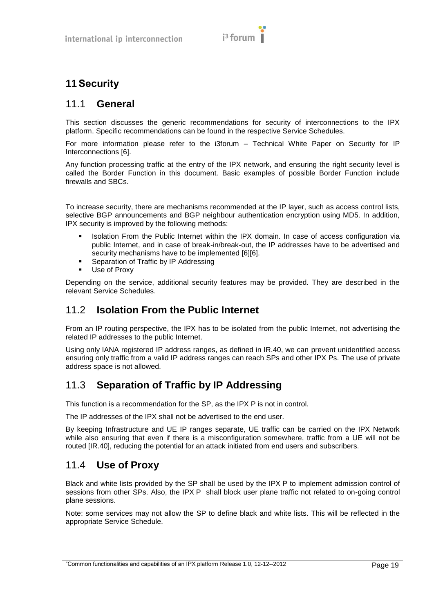

## <span id="page-22-0"></span>**11Security**

#### <span id="page-22-1"></span>11.1 **General**

This section discusses the generic recommendations for security of interconnections to the IPX platform. Specific recommendations can be found in the respective Service Schedules.

For more information please refer to the i3forum – Technical White Paper on Security for IP Interconnections [\[6\].](#page-6-16)

Any function processing traffic at the entry of the IPX network, and ensuring the right security level is called the Border Function in this document. Basic examples of possible Border Function include firewalls and SBCs.

To increase security, there are mechanisms recommended at the IP layer, such as access control lists, selective BGP announcements and BGP neighbour authentication encryption using MD5. In addition, IPX security is improved by the following methods:

- Isolation From the Public Internet within the IPX domain. In case of access configuration via public Internet, and in case of break-in/break-out, the IP addresses have to be advertised and security mechanisms have to be implemented [\[6\]\[6\].](#page-6-16)
- Separation of Traffic by IP Addressing
- Use of Proxy

Depending on the service, additional security features may be provided. They are described in the relevant Service Schedules.

## <span id="page-22-2"></span>11.2 **Isolation From the Public Internet**

From an IP routing perspective, the IPX has to be isolated from the public Internet, not advertising the related IP addresses to the public Internet.

Using only IANA registered IP address ranges, as defined in IR.40, we can prevent unidentified access ensuring only traffic from a valid IP address ranges can reach SPs and other IPX Ps. The use of private address space is not allowed.

## <span id="page-22-3"></span>11.3 **Separation of Traffic by IP Addressing**

This function is a recommendation for the SP, as the IPX P is not in control.

The IP addresses of the IPX shall not be advertised to the end user.

By keeping Infrastructure and UE IP ranges separate, UE traffic can be carried on the IPX Network while also ensuring that even if there is a misconfiguration somewhere, traffic from a UE will not be routed [IR.40], reducing the potential for an attack initiated from end users and subscribers.

## <span id="page-22-4"></span>11.4 **Use of Proxy**

Black and white lists provided by the SP shall be used by the IPX P to implement admission control of sessions from other SPs. Also, the IPX P shall block user plane traffic not related to on-going control plane sessions.

Note: some services may not allow the SP to define black and white lists. This will be reflected in the appropriate Service Schedule.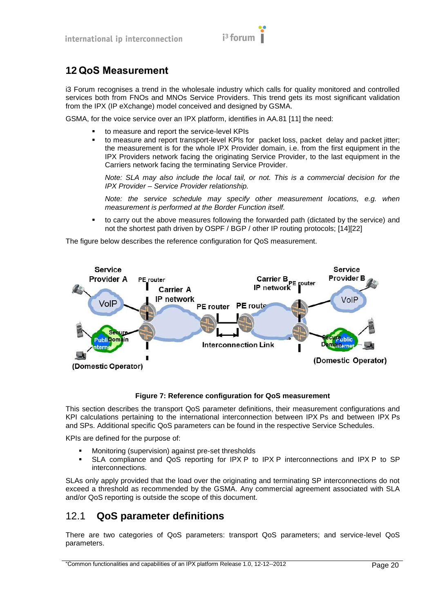

## <span id="page-23-0"></span>**12 QoS Measurement**

i3 Forum recognises a trend in the wholesale industry which calls for quality monitored and controlled services both from FNOs and MNOs Service Providers. This trend gets its most significant validation from the IPX (IP eXchange) model conceived and designed by GSMA.

GSMA, for the voice service over an IPX platform, identifies in AA.81 [\[11\]](#page-6-17) the need:

- to measure and report the service-level KPIs
- to measure and report transport-level KPIs for packet loss, packet delay and packet jitter; the measurement is for the whole IPX Provider domain, i.e. from the first equipment in the IPX Providers network facing the originating Service Provider, to the last equipment in the Carriers network facing the terminating Service Provider.

*Note: SLA may also include the local tail, or not. This is a commercial decision for the IPX Provider – Service Provider relationship.*

*Note: the service schedule may specify other measurement locations, e.g. when measurement is performed at the Border Function itself.*

 to carry out the above measures following the forwarded path (dictated by the service) and not the shortest path driven by OSPF / BGP / other IP routing protocols; [\[14\]\[22\]](#page-6-18)

The figure below describes the reference configuration for QoS measurement.



**Figure 7: Reference configuration for QoS measurement**

<span id="page-23-2"></span>This section describes the transport QoS parameter definitions, their measurement configurations and KPI calculations pertaining to the international interconnection between IPX Ps and between IPX Ps and SPs. Additional specific QoS parameters can be found in the respective Service Schedules.

KPIs are defined for the purpose of:

- Monitoring (supervision) against pre-set thresholds
- SLA compliance and QoS reporting for IPX P to IPX P interconnections and IPX P to SP interconnections.

SLAs only apply provided that the load over the originating and terminating SP interconnections do not exceed a threshold as recommended by the GSMA. Any commercial agreement associated with SLA and/or QoS reporting is outside the scope of this document.

#### <span id="page-23-1"></span>12.1 **QoS parameter definitions**

There are two categories of QoS parameters: transport QoS parameters; and service-level QoS parameters.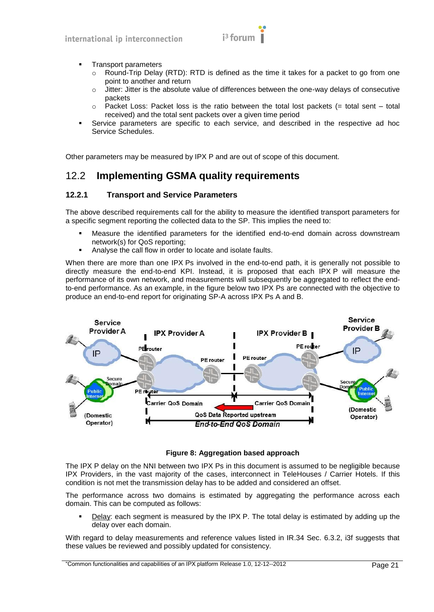

- Transport parameters
	- Round-Trip Delay (RTD): RTD is defined as the time it takes for a packet to go from one point to another and return
	- $\circ$  Jitter: Jitter is the absolute value of differences between the one-way delays of consecutive packets
	- o Packet Loss: Packet loss is the ratio between the total lost packets (= total sent total received) and the total sent packets over a given time period
- Service parameters are specific to each service, and described in the respective ad hoc Service Schedules.

Other parameters may be measured by IPX P and are out of scope of this document.

#### <span id="page-24-0"></span>12.2 **Implementing GSMA quality requirements**

#### <span id="page-24-1"></span>**12.2.1 Transport and Service Parameters**

The above described requirements call for the ability to measure the identified transport parameters for a specific segment reporting the collected data to the SP. This implies the need to:

- Measure the identified parameters for the identified end-to-end domain across downstream network(s) for QoS reporting;
- Analyse the call flow in order to locate and isolate faults.

When there are more than one IPX Ps involved in the end-to-end path, it is generally not possible to directly measure the end-to-end KPI. Instead, it is proposed that each IPX P will measure the performance of its own network, and measurements will subsequently be aggregated to reflect the endto-end performance. As an example, in the figure below two IPX Ps are connected with the objective to produce an end-to-end report for originating SP-A across IPX Ps A and B.



#### **Figure 8: Aggregation based approach**

The IPX P delay on the NNI between two IPX Ps in this document is assumed to be negligible because IPX Providers, in the vast majority of the cases, interconnect in TeleHouses / Carrier Hotels. If this condition is not met the transmission delay has to be added and considered an offset.

The performance across two domains is estimated by aggregating the performance across each domain. This can be computed as follows:

 Delay: each segment is measured by the IPX P. The total delay is estimated by adding up the delay over each domain.

With regard to delay measurements and reference values listed in IR.34 Sec. 6.3.2, i3f suggests that these values be reviewed and possibly updated for consistency.

<sup>&</sup>quot;Common functionalities and capabilities of an IPX platform Release 1.0, 12-12--2012 Page 21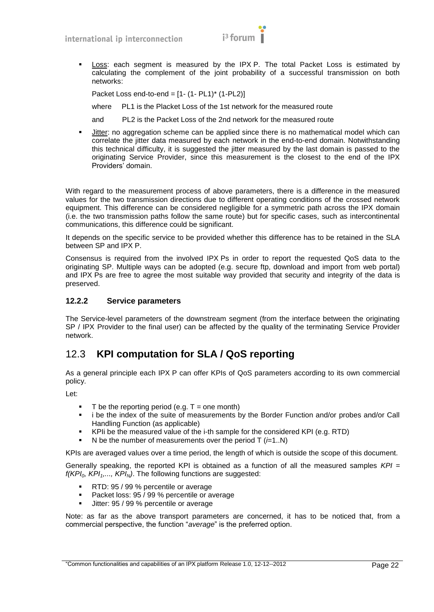

 Loss: each segment is measured by the IPX P. The total Packet Loss is estimated by calculating the complement of the joint probability of a successful transmission on both networks:

Packet Loss end-to-end = [1- (1- PL1)\* (1-PL2)]

where PL1 is the Placket Loss of the 1st network for the measured route

and PL2 is the Packet Loss of the 2nd network for the measured route

 Jitter: no aggregation scheme can be applied since there is no mathematical model which can correlate the jitter data measured by each network in the end-to-end domain. Notwithstanding this technical difficulty, it is suggested the jitter measured by the last domain is passed to the originating Service Provider, since this measurement is the closest to the end of the IPX Providers" domain.

With regard to the measurement process of above parameters, there is a difference in the measured values for the two transmission directions due to different operating conditions of the crossed network equipment. This difference can be considered negligible for a symmetric path across the IPX domain (i.e. the two transmission paths follow the same route) but for specific cases, such as intercontinental communications, this difference could be significant.

It depends on the specific service to be provided whether this difference has to be retained in the SLA between SP and IPX P.

Consensus is required from the involved IPX Ps in order to report the requested QoS data to the originating SP. Multiple ways can be adopted (e.g. secure ftp, download and import from web portal) and IPX Ps are free to agree the most suitable way provided that security and integrity of the data is preserved.

#### <span id="page-25-0"></span>**12.2.2 Service parameters**

The Service-level parameters of the downstream segment (from the interface between the originating SP / IPX Provider to the final user) can be affected by the quality of the terminating Service Provider network.

#### <span id="page-25-1"></span>12.3 **KPI computation for SLA / QoS reporting**

As a general principle each IPX P can offer KPIs of QoS parameters according to its own commercial policy.

Let:

- T be the reporting period (e.g.  $T =$  one month)
- i be the index of the suite of measurements by the Border Function and/or probes and/or Call Handling Function (as applicable)
- KPIi be the measured value of the i-th sample for the considered KPI (e.g. RTD)
- N be the number of measurements over the period  $T$  ( $\neq$ 1..N)

KPIs are averaged values over a time period, the length of which is outside the scope of this document.

Generally speaking, the reported KPI is obtained as a function of all the measured samples *KPI = f(KPI0, KPI1,..., KPIN)*. The following functions are suggested:

- RTD: 95 / 99 % percentile or average
- **Packet loss: 95 / 99 % percentile or average**
- Jitter: 95 / 99 % percentile or average

Note: as far as the above transport parameters are concerned, it has to be noticed that, from a commercial perspective, the function "*average*" is the preferred option.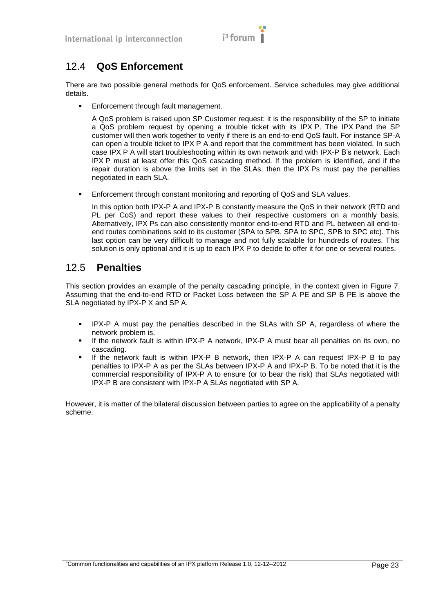

## <span id="page-26-0"></span>12.4 **QoS Enforcement**

There are two possible general methods for QoS enforcement. Service schedules may give additional details.

Enforcement through fault management.

A QoS problem is raised upon SP Customer request: it is the responsibility of the SP to initiate a QoS problem request by opening a trouble ticket with its IPX P. The IPX Pand the SP customer will then work together to verify if there is an end-to-end QoS fault. For instance SP-A can open a trouble ticket to IPX P A and report that the commitment has been violated. In such case IPX P A will start troubleshooting within its own network and with IPX-P B"s network. Each IPX P must at least offer this QoS cascading method. If the problem is identified, and if the repair duration is above the limits set in the SLAs, then the IPX Ps must pay the penalties negotiated in each SLA.

Enforcement through constant monitoring and reporting of QoS and SLA values.

In this option both IPX-P A and IPX-P B constantly measure the QoS in their network (RTD and PL per CoS) and report these values to their respective customers on a monthly basis. Alternatively, IPX Ps can also consistently monitor end-to-end RTD and PL between all end-toend routes combinations sold to its customer (SPA to SPB, SPA to SPC, SPB to SPC etc). This last option can be very difficult to manage and not fully scalable for hundreds of routes. This solution is only optional and it is up to each IPX P to decide to offer it for one or several routes.

#### <span id="page-26-1"></span>12.5 **Penalties**

This section provides an example of the penalty cascading principle, in the context given in [Figure 7.](#page-23-2) Assuming that the end-to-end RTD or Packet Loss between the SP A PE and SP B PE is above the SLA negotiated by IPX-P X and SP A.

- IPX-P A must pay the penalties described in the SLAs with SP A, regardless of where the network problem is.
- If the network fault is within IPX-P A network, IPX-P A must bear all penalties on its own, no cascading.
- If the network fault is within IPX-P B network, then IPX-P A can request IPX-P B to pay penalties to IPX-P A as per the SLAs between IPX-P A and IPX-P B. To be noted that it is the commercial responsibility of IPX-P A to ensure (or to bear the risk) that SLAs negotiated with IPX-P B are consistent with IPX-P A SLAs negotiated with SP A.

However, it is matter of the bilateral discussion between parties to agree on the applicability of a penalty scheme.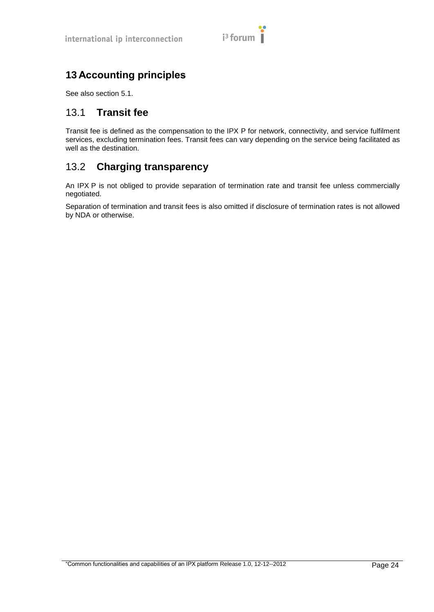# $i<sup>3</sup>$  forum

## <span id="page-27-0"></span>**13 Accounting principles**

See also section [5.1.](#page-8-1)

#### <span id="page-27-1"></span>13.1 **Transit fee**

Transit fee is defined as the compensation to the IPX P for network, connectivity, and service fulfilment services, excluding termination fees. Transit fees can vary depending on the service being facilitated as well as the destination.

## <span id="page-27-2"></span>13.2 **Charging transparency**

An IPX P is not obliged to provide separation of termination rate and transit fee unless commercially negotiated.

Separation of termination and transit fees is also omitted if disclosure of termination rates is not allowed by NDA or otherwise.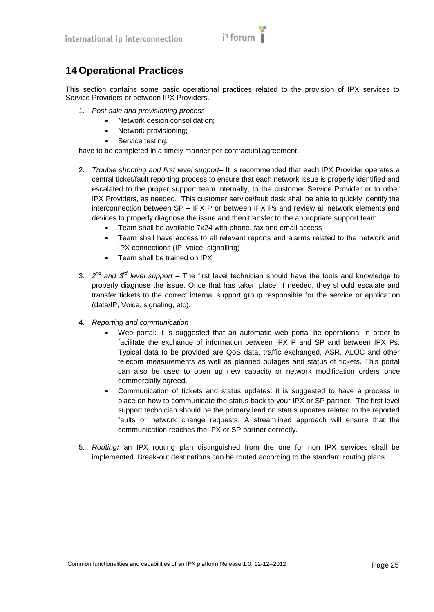

## <span id="page-28-0"></span>**14 Operational Practices**

This section contains some basic operational practices related to the provision of IPX services to Service Providers or between IPX Providers.

- 1. *Post-sale and provisioning process*:
	- Network design consolidation;
	- Network provisioning;
	- Service testing;

have to be completed in a timely manner per contractual agreement.

- 2. *Trouble shooting and first level support* It is recommended that each IPX Provider operates a central ticket/fault reporting process to ensure that each network issue is properly identified and escalated to the proper support team internally, to the customer Service Provider or to other IPX Providers, as needed. This customer service/fault desk shall be able to quickly identify the interconnection between SP – IPX P or between IPX Ps and review all network elements and devices to properly diagnose the issue and then transfer to the appropriate support team.
	- Team shall be available 7x24 with phone, fax and email access
	- Team shall have access to all relevant reports and alarms related to the network and IPX connections (IP, voice, signalling)
	- Team shall be trained on IPX
- 3. 2<sup>nd</sup> and 3<sup>rd</sup> level support The first level technician should have the tools and knowledge to properly diagnose the issue. Once that has taken place, if needed, they should escalate and transfer tickets to the correct internal support group responsible for the service or application (data/IP, Voice, signaling, etc).
- 4. *Reporting and communication*
	- Web portal: it is suggested that an automatic web portal be operational in order to facilitate the exchange of information between IPX P and SP and between IPX Ps. Typical data to be provided are QoS data, traffic exchanged, ASR, ALOC and other telecom measurements as well as planned outages and status of tickets. This portal can also be used to open up new capacity or network modification orders once commercially agreed.
	- Communication of tickets and status updates: it is suggested to have a process in place on how to communicate the status back to your IPX or SP partner. The first level support technician should be the primary lead on status updates related to the reported faults or network change requests. A streamlined approach will ensure that the communication reaches the IPX or SP partner correctly.
- 5. *Routing:* an IPX routing plan distinguished from the one for non IPX services shall be implemented. Break-out destinations can be routed according to the standard routing plans.